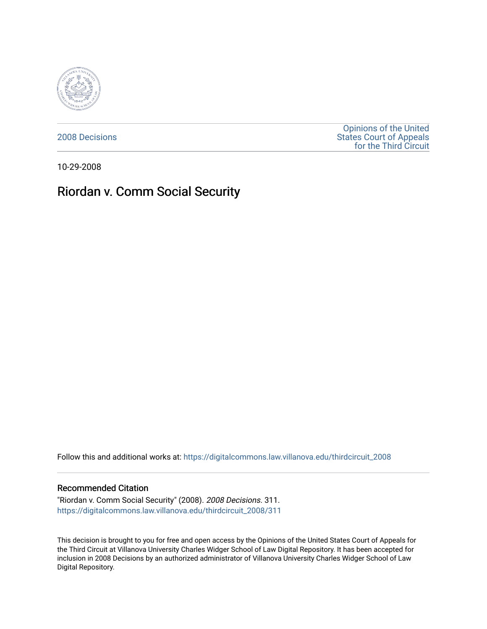

[2008 Decisions](https://digitalcommons.law.villanova.edu/thirdcircuit_2008)

[Opinions of the United](https://digitalcommons.law.villanova.edu/thirdcircuit)  [States Court of Appeals](https://digitalcommons.law.villanova.edu/thirdcircuit)  [for the Third Circuit](https://digitalcommons.law.villanova.edu/thirdcircuit) 

10-29-2008

# Riordan v. Comm Social Security

Follow this and additional works at: [https://digitalcommons.law.villanova.edu/thirdcircuit\\_2008](https://digitalcommons.law.villanova.edu/thirdcircuit_2008?utm_source=digitalcommons.law.villanova.edu%2Fthirdcircuit_2008%2F311&utm_medium=PDF&utm_campaign=PDFCoverPages) 

#### Recommended Citation

"Riordan v. Comm Social Security" (2008). 2008 Decisions. 311. [https://digitalcommons.law.villanova.edu/thirdcircuit\\_2008/311](https://digitalcommons.law.villanova.edu/thirdcircuit_2008/311?utm_source=digitalcommons.law.villanova.edu%2Fthirdcircuit_2008%2F311&utm_medium=PDF&utm_campaign=PDFCoverPages)

This decision is brought to you for free and open access by the Opinions of the United States Court of Appeals for the Third Circuit at Villanova University Charles Widger School of Law Digital Repository. It has been accepted for inclusion in 2008 Decisions by an authorized administrator of Villanova University Charles Widger School of Law Digital Repository.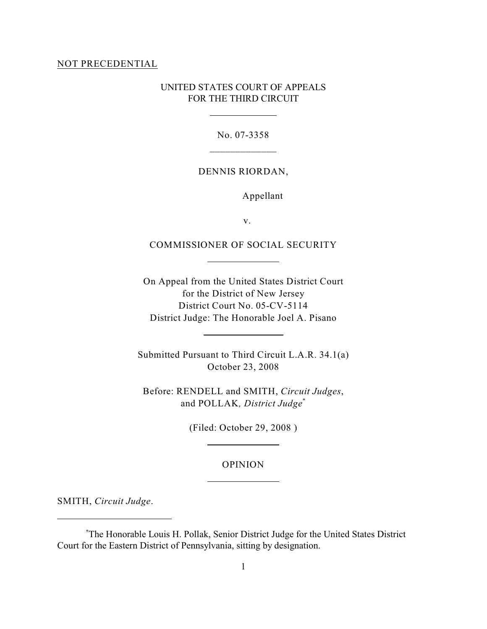#### NOT PRECEDENTIAL

# UNITED STATES COURT OF APPEALS FOR THE THIRD CIRCUIT

 $\overline{a}$ 

 $\overline{a}$ 

 $\overline{a}$ 

 $\overline{a}$ 

 $\overline{a}$ 

No. 07-3358 \_\_\_\_\_\_\_\_\_\_\_\_\_

## DENNIS RIORDAN,

Appellant

v.

# COMMISSIONER OF SOCIAL SECURITY

On Appeal from the United States District Court for the District of New Jersey District Court No. 05-CV-5114 District Judge: The Honorable Joel A. Pisano

Submitted Pursuant to Third Circuit L.A.R. 34.1(a) October 23, 2008

Before: RENDELL and SMITH, *Circuit Judges*, and POLLAK*, District Judge*\*

(Filed: October 29, 2008 )

## OPINION

SMITH, *Circuit Judge*.

The Honorable Louis H. Pollak, Senior District Judge for the United States District \* Court for the Eastern District of Pennsylvania, sitting by designation.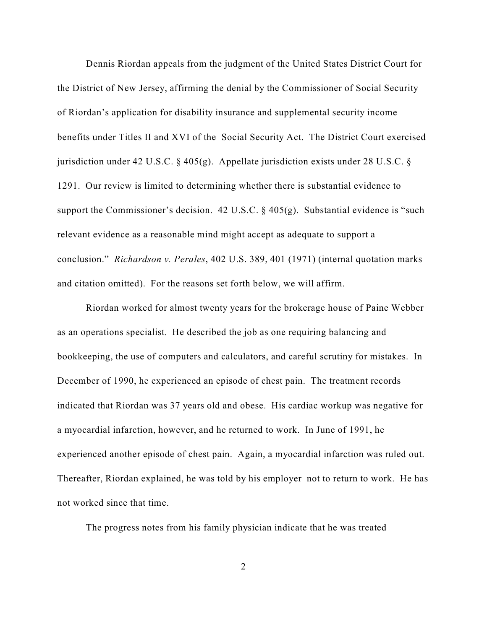Dennis Riordan appeals from the judgment of the United States District Court for the District of New Jersey, affirming the denial by the Commissioner of Social Security of Riordan's application for disability insurance and supplemental security income benefits under Titles II and XVI of the Social Security Act. The District Court exercised jurisdiction under 42 U.S.C. § 405(g). Appellate jurisdiction exists under 28 U.S.C. § 1291. Our review is limited to determining whether there is substantial evidence to support the Commissioner's decision. 42 U.S.C. § 405(g). Substantial evidence is "such relevant evidence as a reasonable mind might accept as adequate to support a conclusion." *Richardson v. Perales*, 402 U.S. 389, 401 (1971) (internal quotation marks and citation omitted). For the reasons set forth below, we will affirm.

Riordan worked for almost twenty years for the brokerage house of Paine Webber as an operations specialist. He described the job as one requiring balancing and bookkeeping, the use of computers and calculators, and careful scrutiny for mistakes. In December of 1990, he experienced an episode of chest pain. The treatment records indicated that Riordan was 37 years old and obese. His cardiac workup was negative for a myocardial infarction, however, and he returned to work. In June of 1991, he experienced another episode of chest pain. Again, a myocardial infarction was ruled out. Thereafter, Riordan explained, he was told by his employer not to return to work. He has not worked since that time.

The progress notes from his family physician indicate that he was treated

2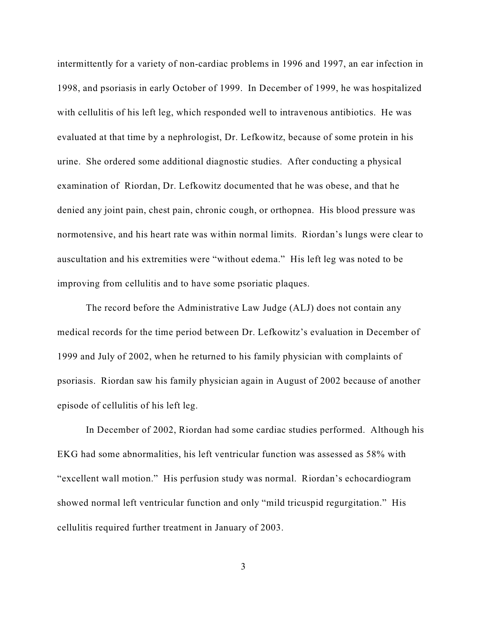intermittently for a variety of non-cardiac problems in 1996 and 1997, an ear infection in 1998, and psoriasis in early October of 1999. In December of 1999, he was hospitalized with cellulitis of his left leg, which responded well to intravenous antibiotics. He was evaluated at that time by a nephrologist, Dr. Lefkowitz, because of some protein in his urine. She ordered some additional diagnostic studies. After conducting a physical examination of Riordan, Dr. Lefkowitz documented that he was obese, and that he denied any joint pain, chest pain, chronic cough, or orthopnea. His blood pressure was normotensive, and his heart rate was within normal limits. Riordan's lungs were clear to auscultation and his extremities were "without edema." His left leg was noted to be improving from cellulitis and to have some psoriatic plaques.

The record before the Administrative Law Judge (ALJ) does not contain any medical records for the time period between Dr. Lefkowitz's evaluation in December of 1999 and July of 2002, when he returned to his family physician with complaints of psoriasis. Riordan saw his family physician again in August of 2002 because of another episode of cellulitis of his left leg.

In December of 2002, Riordan had some cardiac studies performed. Although his EKG had some abnormalities, his left ventricular function was assessed as 58% with "excellent wall motion." His perfusion study was normal. Riordan's echocardiogram showed normal left ventricular function and only "mild tricuspid regurgitation." His cellulitis required further treatment in January of 2003.

3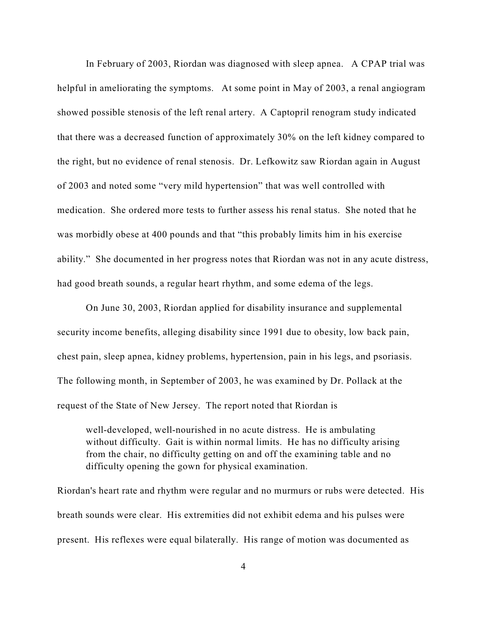In February of 2003, Riordan was diagnosed with sleep apnea. A CPAP trial was helpful in ameliorating the symptoms. At some point in May of 2003, a renal angiogram showed possible stenosis of the left renal artery. A Captopril renogram study indicated that there was a decreased function of approximately 30% on the left kidney compared to the right, but no evidence of renal stenosis. Dr. Lefkowitz saw Riordan again in August of 2003 and noted some "very mild hypertension" that was well controlled with medication. She ordered more tests to further assess his renal status. She noted that he was morbidly obese at 400 pounds and that "this probably limits him in his exercise ability." She documented in her progress notes that Riordan was not in any acute distress, had good breath sounds, a regular heart rhythm, and some edema of the legs.

On June 30, 2003, Riordan applied for disability insurance and supplemental security income benefits, alleging disability since 1991 due to obesity, low back pain, chest pain, sleep apnea, kidney problems, hypertension, pain in his legs, and psoriasis. The following month, in September of 2003, he was examined by Dr. Pollack at the request of the State of New Jersey. The report noted that Riordan is

well-developed, well-nourished in no acute distress. He is ambulating without difficulty. Gait is within normal limits. He has no difficulty arising from the chair, no difficulty getting on and off the examining table and no difficulty opening the gown for physical examination.

Riordan's heart rate and rhythm were regular and no murmurs or rubs were detected. His breath sounds were clear. His extremities did not exhibit edema and his pulses were present. His reflexes were equal bilaterally. His range of motion was documented as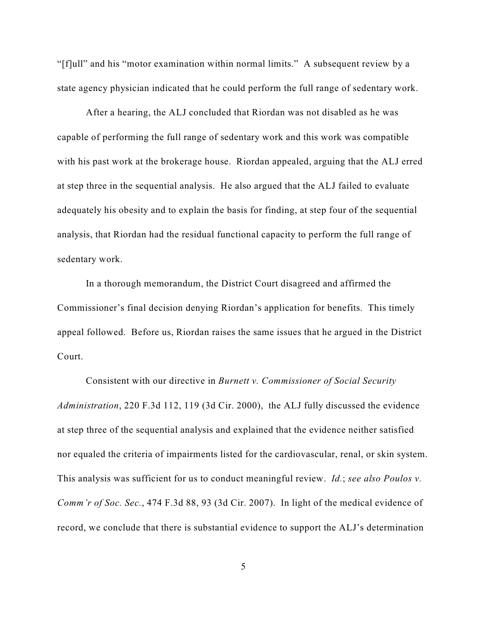"[f]ull" and his "motor examination within normal limits." A subsequent review by a state agency physician indicated that he could perform the full range of sedentary work.

After a hearing, the ALJ concluded that Riordan was not disabled as he was capable of performing the full range of sedentary work and this work was compatible with his past work at the brokerage house. Riordan appealed, arguing that the ALJ erred at step three in the sequential analysis. He also argued that the ALJ failed to evaluate adequately his obesity and to explain the basis for finding, at step four of the sequential analysis, that Riordan had the residual functional capacity to perform the full range of sedentary work.

In a thorough memorandum, the District Court disagreed and affirmed the Commissioner's final decision denying Riordan's application for benefits. This timely appeal followed. Before us, Riordan raises the same issues that he argued in the District Court.

Consistent with our directive in *Burnett v. Commissioner of Social Security Administration*, 220 F.3d 112, 119 (3d Cir. 2000), the ALJ fully discussed the evidence at step three of the sequential analysis and explained that the evidence neither satisfied nor equaled the criteria of impairments listed for the cardiovascular, renal, or skin system. This analysis was sufficient for us to conduct meaningful review. *Id.*; *see also Poulos v. Comm'r of Soc. Sec.*, 474 F.3d 88, 93 (3d Cir. 2007). In light of the medical evidence of record, we conclude that there is substantial evidence to support the ALJ's determination